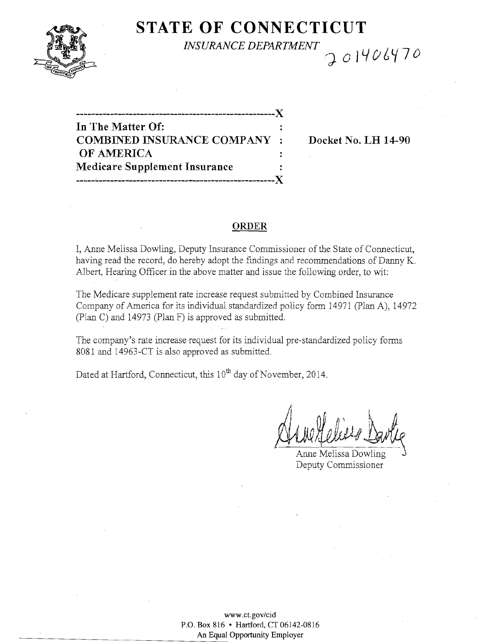

# **STATE OF CONNECTICUT**  $INSURANCE DEPARTMENT$ <br> $\bigcirc$  01406470

**-----------------------------------------------------)( In The Matter Of: COMBINED INSURANCE COMPANY : Docket No. LH 14-90 OF AMERICA Medicare Supplement Insurance**  -----~-----------------------\_.\_---------------------)(

## **ORDER**

I, Anne Melissa Dowling, Deputy Insurance Commissioner of the State of Connecticut, having read the record, do hereby adopt the findings and recommendations of Danny K. Albert, Hearing Officer in the above matter and issue the following order, to wit:

The Medicare supplement rate increase request submitted by Combined Insurance Company of America for its individual standardized policy form 14971 (plan A), 14972 (plan C) and 14973 (Plan F) is approved as submitted.

The company's rate increase request for its individual pre-standardized policy forms 8081 and 14963-CT is also approved as submitted.

Dated at Hartford, Connecticut, this 10<sup>th</sup> day of November, 2014.

 $\vec{A}$ 

Anne Melissa Dowling Deputy Commissioner

www.ct.gov/cid P.O. Box 816 • Hartford, CT06142-0816 An **Equal** Opportunity Employer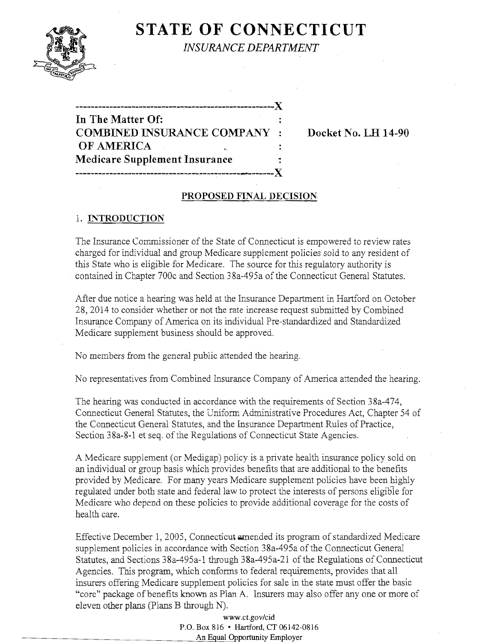

**STATE OF CONNECTICUT** *INSURANCE DEPARTMENT* 

# **In The Matter Of: COMBINED INSURANCE COMPANY : Docket No. LH 14-90 OF AMERICA Medicare Supplement Insurance**

 $\overline{A}$ 

**-----------------------------------------------------)(** 

# **PROPOSED FINAL DECISION**

# 1. **INTRODUCTION**

The Insurance Commissioner of the State of Connecticut is empowered to review rates charged for individual and group Medicare supplement policies sold to any resident of this State who is eligible for Medicare. The source for this regulatory authority is contained in Chapter 700c and Section 38a-495a of the Connecticut General Statutes.

After due notice a hearing was held at the Insurance Department in Hartford on October 28,2014 to consider whether or not the rate increase request submitted by Combined Insurance Company of America on its individual Pre-standardized and Standardized Medicare supplement business should be approved.

No members from the general public attended the hearing.

No representatives from Combined Insurance Company of America attended the hearing.

The hearing was conducted in accordance with the requirements of Section 38a-474, Connecticut General Statutes, the Uniform Administrative Procedures Act, Chapter 54 of the Connecticut General Statutes, and the Insurance Department Rules of Practice, Section 38a-8-1 et seq. of the Regulations of Connecticut State Agencies.

A Medicare supplement (or Medigap) policy is a private health insurance policy sold on an individual or group basis which provides benefits that are additional.to the benefits provided by Medicare. For many years Medicare supplement policies have been highly regulated under both state and federal law to protect the interests of persons eligible for Medicare who depend on these policies to provide additional coverage for the costs of health care.

Effective December 1, 2005, Connecticut amended its program of standardized Medicare supplement policies in accordance with Section 38a-495a of the Connecticut General Statutes, and Sections 38a-495a-l through 38a-495a-21 of the Regulations of Connecticut Agencies. This program, which conforms to federal requirements, provides that all insurers offering Medicare supplement policies for sale in the state must offer the basic "core" package of benefits known as Plan A. Insurers may also offer anyone or more of eleven other plans (plans B through N).

> www.ct.gov/cid P.O. Box 816 • Hartford, CT 06142-0816 An Equal Opportunity Employer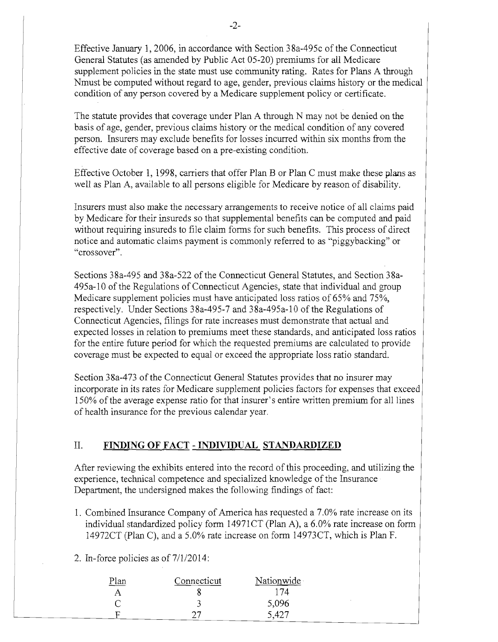Effective January 1, 2006, in accordance with Section 38a-495c of the Connecticut General Statutes (as amended by Public Act 05-20) premiums for all Medicare supplement policies in the state must use community rating. Rates for Plans A through Nmust be computed without regard to age, gender, previous claims history or the medical condition of any person covered by a Medicare supplement policy or certificate.

The statute provides that coverage under Plan A through N may not be denied on the basis of age, gender, previous claims history or the medical condition of any covered person. Insurers may exclude benefits for losses incurred within six months from the effective date of coverage based on a pre-existing condition.

Effective October 1, 1998, carriers that offer Plan B or Plan C must make these plans as well as Plan A, available to all persons eligible for Medicare by reason of disability.

Insurers must also make the necessary arrangements to receive notice of all claims paid by Medicare for their insureds so that supplemental benefits can be computed and paid without requiring insureds to file claim forms for such benefits. This process of direct notice and automatic claims payment is commonly referred to as "piggybacking" or "crossover".

Sections 38a-495 and 38a-522 of the Connecticut General Statutes, and Section 38a-495a-10 of the Regulations of Connecticut Agencies, state that individual and group Medicare supplement policies must have anticipated loss ratios of 65% and 75%, respectively. Under Sections 38a-495-7 and 38a-495a-10 of the Regulations of Connecticut Agencies, filings for rate increases must demonstrate that actual and expected losses in relation to premiums meet these standards, and anticipated loss ratios for the entire future period for which the requested premiums are calculated to provide coverage must be expected to equal or exceed the appropriate loss ratio standard.

Section 38a-473 of the Connecticut General Statutes provides that no insurer may incorporate in its rates for Medicare supplement policies factors for expenses that exceed 150% ofthe average expense ratio for that insurer's entire written premium for all lines of health insurance for the previous calendar year.

## II. **FINDING OF FACT - INDIVIDUAL STANDARDIZED**

After reviewing the exhibits entered into the record of this proceeding, and utilizing the experience, technical competence and specialized knowledge of the Insurance Department, the undersigned makes the following findings of fact:

1. Combined Insurance Company of America has requested a 7.0% rate increase on its individual standardized policy form 14971CT (Plan A), a 6.0% rate increase on form l4972CT (Plan C), and a 5.0% rate increase on form 14973CT, which is Plan F.

2. In-force policies as of 7/1/2014:

| <u>Plan</u> | Connecticut | Nationwide   |  |
|-------------|-------------|--------------|--|
|             |             | 17 $\Lambda$ |  |
|             |             | 5,096        |  |
|             |             | 5,427        |  |
|             |             |              |  |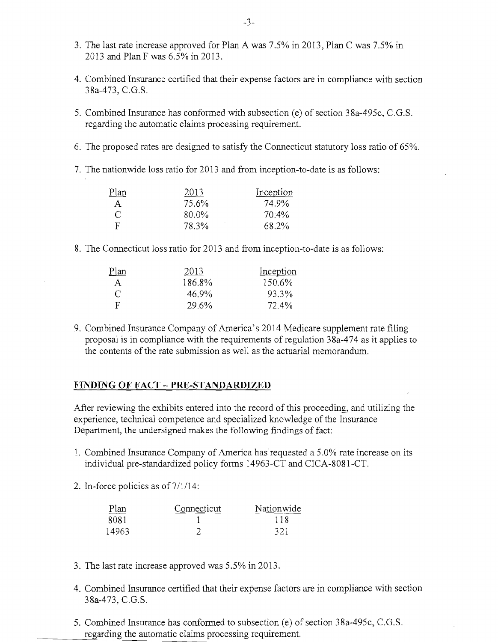- 3. The last rate increase approved for Plan A was 7.5% in 2013, Plan C was 7.5% in 2013 and Plan F was 6.5% in 2013.
- 4. Combined Insurance certified that their expense factors are in compliance with section 38a-473, C.G.S.
- 5. Combined Insurance has conformed with subsection (e) of section 38a-495c, C.G.S. regarding the automatic claims processing requirement.
- 6. The proposed rates are designed to satisfy the Connecticut statutory loss ratio of 65%.
- 7. The nationwide loss ratio for 2013 and from inception-to-date is as follows:

| <u>Plan</u>  | 2013  | Inception |
|--------------|-------|-----------|
| $\mathsf{A}$ | 75.6% | 74.9%     |
| C            | 80.0% | $70.4\%$  |
| -F           | 78.3% | 68.2%     |

8. The Connecticut loss ratio for 2013 and from inception-to-date is as follows:

| Plan | 2013   | Inception |
|------|--------|-----------|
| A    | 186.8% | 150.6%    |
| C    | 46.9%  | 93.3%     |
| Е    | 29.6%  | 72.4%     |

9. Combined Insurance Company of America's 2014 Medicare supplement rate filing proposal is in compliance with the requirements of regulation 38a-474 as it applies to the contents of the rate submission as well as the actuarial memorandum.

#### **FINDING OF FACT - PRE-STANDARDIZED**

After reviewing the exhibits entered into the record of this proceeding, and utilizing the experience, technical competence and specialized knowledge of the Insurance Department, the undersigned makes the following findings of fact:

- 1. Combined Insurance Company of America has requested a 5.0% rate increase on its individual pre-standardized policy forms l4963-CT and CICA-8081-CT.
- 2. In-force policies as of  $7/1/14$ :

| Plan  | Connecticut. | Nationwide |
|-------|--------------|------------|
| 8081  |              | 118        |
| 14963 |              | 321        |

- 3. The last rate increase approved was 5.5% in 2013.
- 4. Combined Insurance certified that their expense factors are in compliance with section 38a-473, C.G.S.
- 5. Combined Insurance has conformed to subsection (e) of section 38a-495c, C.G.S. regarding the automatic claims processing requirement.